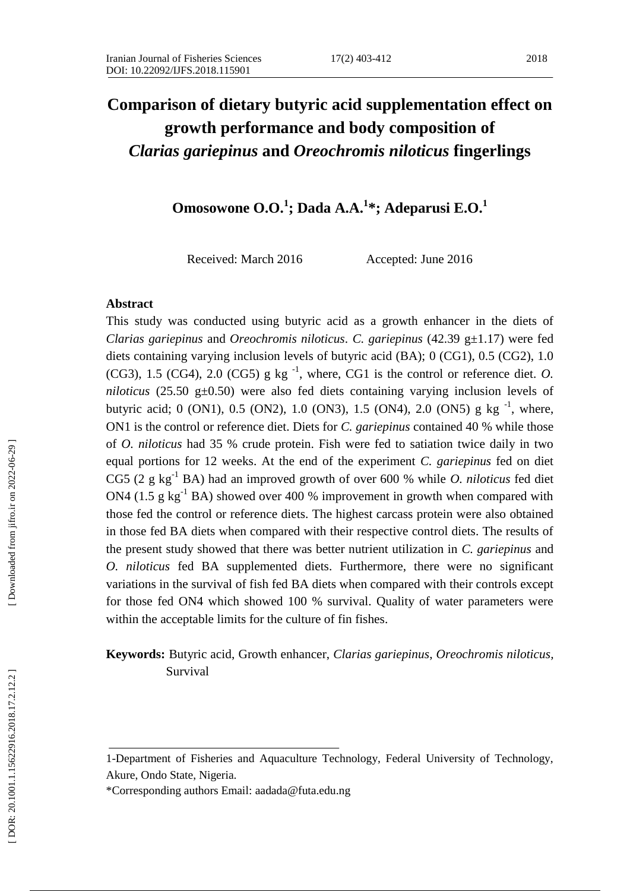# **Comparison of dietary butyric acid supplementation effect on growth performance and body composition of**  *Clarias gariepinus* **and** *Oreochromis niloticus* **fingerlings**

**Omosowone O.O. 1 ; Dada A.A. 1 \* ; Adeparusi E.O. 1**

Received: March 2016 Accepted: June 2016

#### **Abstract**

This study was conducted using butyric acid as a growth enhancer in the diets of *Clarias gariepinus* and *Oreochromis niloticus*. *C. gariepinus* (42.39 g±1.17) were fed diets containing varying inclusion levels of butyric acid (BA); 0 (CG1), 0.5 (CG2), 1.0 (CG3), 1.5 (CG4), 2.0 (CG5) g kg<sup>-1</sup>, where, CG1 is the control or reference diet. *O*. *niloticus* (25.50 g±0.50) were also fed diets containing varying inclusion levels of butyric acid; 0 (ON1), 0.5 (ON2), 1.0 (ON3), 1.5 (ON4), 2.0 (ON5) g kg<sup>-1</sup>, where, ON1 is the control or reference diet. Diets for *C. gariepinus* contained 40 % while those of *O. niloticus* had 35 % crude protein. Fish were fed to satiation twice daily in two equal portions for 12 weeks. At the end of the experiment *C. gariepinus* fed on diet CG5 (2 g kg - <sup>1</sup> BA) had an improved growth of over 600 % while *O. niloticus* fed diet ON4 (1.5  $g \text{ kg}^{-1}$  BA) showed over 400 % improvement in growth when compared with those fed the control or reference diets. The highest carcass protein were also obtained in those fed BA diets when compared with their respective control diets. The results of the present study showed that there was better nutrient utilization in *C. gariepinus* and *O. niloticus* fed BA supplemented diets. Furthermore, there were no significant variations in the survival of fish fed BA diets when compared with their controls except for those fed ON4 which showed 100 % survival. Quality of water parameters were within the acceptable limits for the culture of fin fishes.

# **Keywords:** Butyric acid, Growth enhancer, *Clarias gariepinus*, *Oreochromis niloticus,* Survival

<sup>1-</sup>Department of Fisheries and Aquaculture Technology, Federal University of Technology, Akure, Ondo State, Nigeria.

<sup>\*</sup>Corresponding authors Email: aadada@futa.edu.ng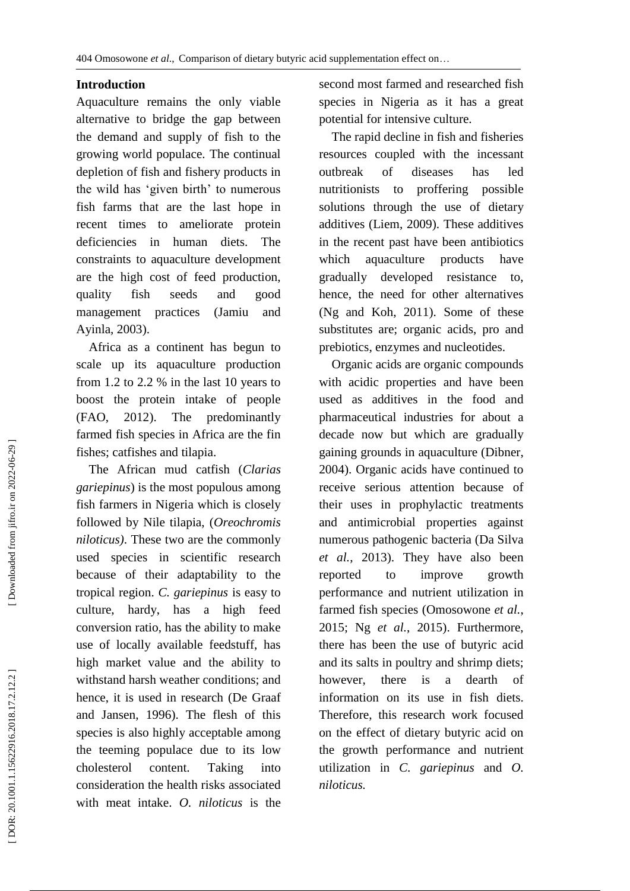# **Introduction**

Aquaculture remains the only viable alternative to bridge the gap between the demand and supply of fish to the growing world populace. The continual depletion of fish and fishery products in the wild has 'given birth' to numerous fish farms that are the last hope in recent times to ameliorate protein deficiencies in human diets. The constraints to aquaculture development are the high cost of feed production, quality fish seeds and good management practices (Jamiu and Ayinla, 2003).

 Africa as a continent has begun to scale up its aquaculture production from 1.2 to 2.2 % in the last 10 years to boost the protein intake of people (FAO, 2012). The predominantly farmed fish species in Africa are the fin fishes; catfishes and tilapia.

 The African mud catfish (*Clarias gariepinus*) is the most populous among fish farmers in Nigeria which is closely followed by Nile tilapia, (*Oreochromis niloticus)*. These two are the commonly used species in scientific research because of their adaptability to the tropical region. *C. gariepinus* is easy to culture, hardy, has a high feed conversion ratio, has the ability to make use of locally available feedstuff, has high market value and the ability to withstand harsh weather conditions; and hence, it is used in research (De Graaf and Jansen, 1996). The flesh of this species is also highly acceptable among the teeming populace due to its low cholesterol content. Taking into consideration the health risks associated with meat intake. *O. niloticus* is the

second most farmed and researched fish species in Nigeria as it has a great potential for intensive culture.

 The rapid decline in fish and fisheries resources coupled with the incessant outbreak of diseases has led nutritionists to proffering possible solutions through the use of dietary additives (Liem, 2009). These additives in the recent past have been antibiotics which aquaculture products have gradually developed resistance to, hence, the need for other alternatives (Ng and Koh, 2011). Some of these substitutes are; organic acids, pro and prebiotics, enzymes and nucleotides.

 Organic acids are organic compounds with acidic properties and have been used as additives in the food and pharmaceutical industries for about a decade now but which are gradually gaining grounds in aquaculture (Dibner, 2004). Organic acids have continued to receive serious attention because of their uses in prophylactic treatments and antimicrobial properties against numerous pathogenic bacteria (Da Silva *et al .*, 2013). They have also been reported to improve growth performance and nutrient utilization in farmed fish species (Omosowone *et al .*, 2015 ; Ng *et al .*, 2015). Furthermore, there has been the use of butyric acid and its salts in poultry and shrimp diets; however, there is a dearth of information on its use in fish diets. Therefore, this research work focused on the effect of dietary butyric acid on the growth performance and nutrient utilization in *C. gariepinus* and *O. niloticus.*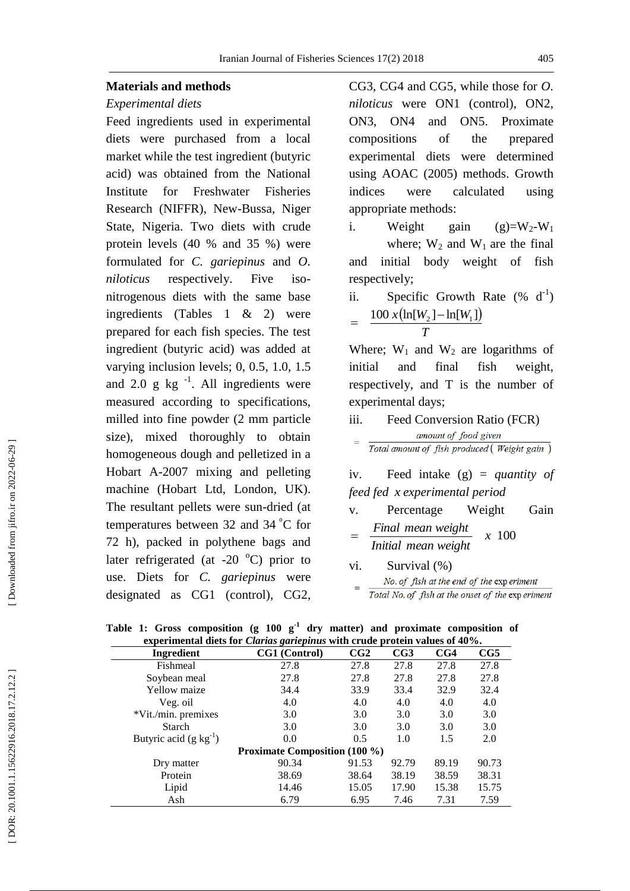#### **Materials and methods**

#### *Experimental diets*

Feed ingredients used in experimental diets were purchased from a local market while the test ingredient (butyric acid) was obtained from the National Institute for Freshwater Fisheries Research (NIFFR), New -Bussa, Niger State, Nigeria. Two diets with crude protein levels (40 % and 35 %) were formulated for *C. gariepinus* and *O. niloticus* respectively. Five isonitrogenous diets with the same base ingredients (Tables 1 & 2) were prepared for each fish species. The test ingredient (butyric acid) was added at varying inclusion levels; 0, 0.5, 1.0, 1.5 and 2.0 g  $kg^{-1}$ . All ingredients were measured according to specifications, milled into fine powder (2 mm particle size), mixed thoroughly to obtain homogeneous dough and pelletized in a Hobart A -2007 mixing and pelleting machine (Hobart Ltd, London, UK). The resultant pellets were sun -dried (at temperatures between  $32$  and  $34^{\circ}$ C for 72 h), packed in polythene bags and later refrigerated (at -20 $\degree$ C) prior to use. Diets for *C. gariepinus* were designated as CG1 (control), CG2,

CG3, CG4 and CG5, while those for *O. niloticus* were ON1 (control), ON2, ON3, ON4 and ON5. Proximate compositions of the prepared experimental diets were determined using AOAC (2005) methods. Growth indices were calculated using appropriate methods:

- i. Weight gain  $=W_2-W_1$ where;  $W_2$  and  $W_1$  are the final and initial body weight of fish respectively;
- ii. Specific Growth Rate  $(\%$  d<sup>-1</sup>)  $100 x (\ln[W_2] - \ln[W_1])$ *T* --

Where;  $W_1$  and  $W_2$  are logarithms of initial and final fish weight, respectively, and T is the number of experimental days;

iii. Feed Conversion Ratio (FCR) amount of food given Total amount of fish produced (Weight gain)

iv. Feed intake (g) = *quantity of feed fe d x experimental period*

- v. Percentage Weight Gain *<sup>x</sup>* 100 *Initial mean weight Final mean weight* ᆖ
- vi. Survival (%) No. of fish at the end of the exp eriment Total No. of fish at the onset of the exp eriment

| experimental diets for <i>Clarius gariepinus</i> with crude protein values of 40%. |                                      |       |       |       |       |  |  |  |
|------------------------------------------------------------------------------------|--------------------------------------|-------|-------|-------|-------|--|--|--|
| Ingredient                                                                         | CG1 (Control)                        | CG2   | CG3   | CG4   | CG5   |  |  |  |
| Fishmeal                                                                           | 27.8                                 | 27.8  | 27.8  | 27.8  | 27.8  |  |  |  |
| Soybean meal                                                                       | 27.8                                 | 27.8  | 27.8  | 27.8  | 27.8  |  |  |  |
| Yellow maize                                                                       | 34.4                                 | 33.9  | 33.4  | 32.9  | 32.4  |  |  |  |
| Veg. oil                                                                           | 4.0                                  | 4.0   | 4.0   | 4.0   | 4.0   |  |  |  |
| *Vit./min. premixes                                                                | 3.0                                  | 3.0   | 3.0   | 3.0   | 3.0   |  |  |  |
| <b>Starch</b>                                                                      | 3.0                                  | 3.0   | 3.0   | 3.0   | 3.0   |  |  |  |
| Butyric acid $(g \text{ kg}^{-1})$                                                 | 0.0                                  | 0.5   | 1.0   | 1.5   | 2.0   |  |  |  |
|                                                                                    | <b>Proximate Composition (100 %)</b> |       |       |       |       |  |  |  |
| Dry matter                                                                         | 90.34                                | 91.53 | 92.79 | 89.19 | 90.73 |  |  |  |
| Protein                                                                            | 38.69                                | 38.64 | 38.19 | 38.59 | 38.31 |  |  |  |
| Lipid                                                                              | 14.46                                | 15.05 | 17.90 | 15.38 | 15.75 |  |  |  |
| Ash                                                                                | 6.79                                 | 6.95  | 7.46  | 7.31  | 7.59  |  |  |  |

**Table 1: Gross composition (g 100 g - 1 dry matter) and proximate composition of experimental diets for** *Clarias gariepinus* **with crude protein values of 40% .**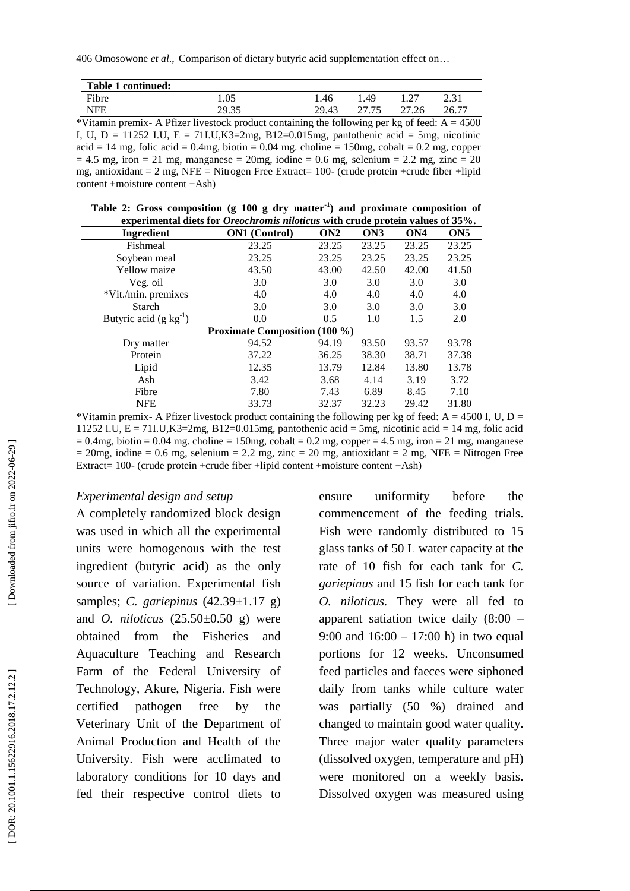| Table 1 continued: |       |       |       |       |       |
|--------------------|-------|-------|-------|-------|-------|
| Fibre              | 1.05  | . 46  | . 49  |       | 2.31  |
| <b>NFE</b>         | 29.35 | 29.43 | 27.75 | 27.26 | 26.77 |

\*Vitamin premix- A Pfizer livestock product containing the following per kg of feed:  $A = 4500$ I, U,  $D = 11252$  I.U,  $E = 711$ .U,  $K3=2$ mg,  $B12=0.015$ mg, pantothenic acid = 5mg, nicotinic  $\text{acid} = 14 \text{ mg}$ , folic acid = 0.4mg, biotin = 0.04 mg. choline = 150mg, cobalt = 0.2 mg, copper  $= 4.5$  mg, iron  $= 21$  mg, manganese  $= 20$ mg, iodine  $= 0.6$  mg, selenium  $= 2.2$  mg, zinc  $= 20$ mg, antioxidant = 2 mg, NFE = Nitrogen Free Extract= 100 - (crude protein +crude fiber +lipid content +moisture content +Ash)

**Table 2: Gross composition (g 100 g dry matter - 1 ) and proximate composition of experimental diets for** *Oreochromis niloticus* **with crude protein values of 35% .**

| Ingredient                           | <b>ON1</b> (Control) | ON2   | ON3   | ON <sub>4</sub> | ON <sub>5</sub> |  |  |  |  |
|--------------------------------------|----------------------|-------|-------|-----------------|-----------------|--|--|--|--|
| Fishmeal                             | 23.25                | 23.25 | 23.25 | 23.25           | 23.25           |  |  |  |  |
| Soybean meal                         | 23.25                | 23.25 | 23.25 | 23.25           | 23.25           |  |  |  |  |
| Yellow maize                         | 43.50                | 43.00 | 42.50 | 42.00           | 41.50           |  |  |  |  |
| Veg. oil                             | 3.0                  | 3.0   | 3.0   | 3.0             | 3.0             |  |  |  |  |
| *Vit./min. premixes                  | 4.0                  | 4.0   | 4.0   | 4.0             | 4.0             |  |  |  |  |
| <b>Starch</b>                        | 3.0                  | 3.0   | 3.0   | 3.0             | 3.0             |  |  |  |  |
| Butyric acid $(g \text{ kg}^{-1})$   | 0.0                  | 0.5   | 1.0   | 1.5             | 2.0             |  |  |  |  |
| <b>Proximate Composition (100 %)</b> |                      |       |       |                 |                 |  |  |  |  |
| Dry matter                           | 94.52                | 94.19 | 93.50 | 93.57           | 93.78           |  |  |  |  |
| Protein                              | 37.22                | 36.25 | 38.30 | 38.71           | 37.38           |  |  |  |  |
| Lipid                                | 12.35                | 13.79 | 12.84 | 13.80           | 13.78           |  |  |  |  |
| Ash                                  | 3.42                 | 3.68  | 4.14  | 3.19            | 3.72            |  |  |  |  |
| Fibre                                | 7.80                 | 7.43  | 6.89  | 8.45            | 7.10            |  |  |  |  |
| <b>NFE</b>                           | 33.73                | 32.37 | 32.23 | 29.42           | 31.80           |  |  |  |  |

\*Vitamin premix- A Pfizer livestock product containing the following per kg of feed:  $A = 4500$  I, U, D = 11252 I.U, E = 71I.U,K3=2mg, B12=0.015mg, pantothenic acid = 5mg, nicotinic acid = 14 mg, folic acid  $= 0.4$ mg, biotin  $= 0.04$  mg. choline  $= 150$ mg, cobalt  $= 0.2$  mg, copper  $= 4.5$  mg, iron  $= 21$  mg, manganese  $= 20$ mg, iodine  $= 0.6$  mg, selenium  $= 2.2$  mg, zinc  $= 20$  mg, antioxidant  $= 2$  mg, NFE  $=$  Nitrogen Free Extract= 100 - (crude protein +crude fiber +lipid content +moisture content +Ash)

#### *Experimental design and setup*

A completely randomized block design was used in which all the experimental units were homogenous with the test ingredient (butyric acid) as the only source of variation. Experimental fish samples; *C. gariepinus* (42.39 ±1.17 g) and *O. niloticus* (25.50 ±0.50 g) were obtained from the Fisheries and Aquaculture Teaching and Research Farm of the Federal University of Technology, Akure, Nigeria. Fish were certified pathogen free by the Veterinary Unit of the Department of Animal Production and Health of the University. Fish were acclimated to laboratory conditions for 10 days and fed their respective control diets to

ensure uniformity before the commencement of the feeding trials. Fish were randomly distributed to 15 glass tanks of 50 L water capacity at the rate of 10 fish for each tank for *C. gariepinus* and 15 fish for each tank for *O. niloticus.* They were all fed to apparent satiation twice daily (8:00 – 9:00 and 16:00 – 17:00 h) in two equal portions for 12 weeks. Unconsumed feed particles and faeces were siphoned daily from tanks while culture water was partially (50 %) drained and changed to maintain good water quality. Three major water quality parameters (dissolved oxygen, temperature and pH) were monitored on a weekly basis. Dissolved oxygen was measured using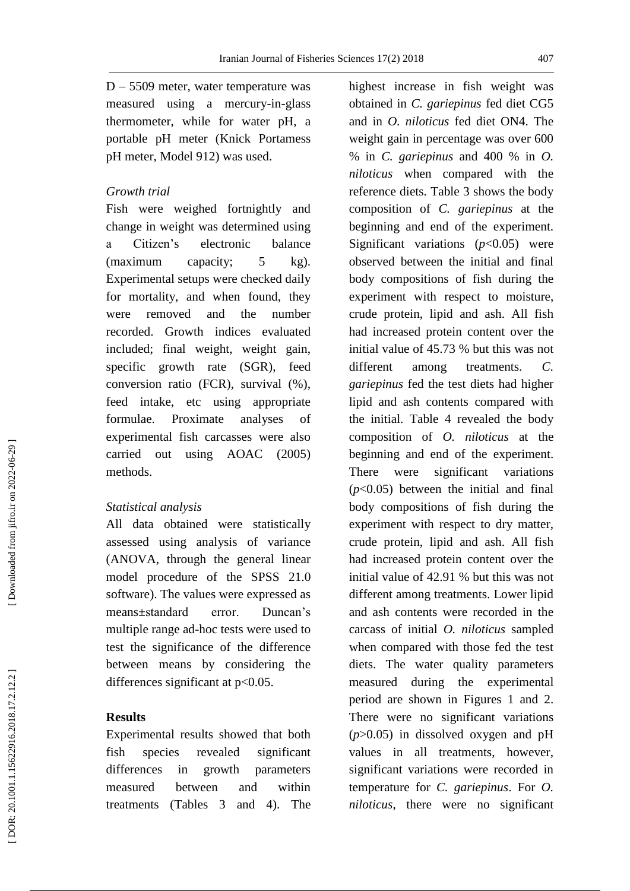D – 5509 meter, water temperature was measured using a mercury -in -glass thermometer, while for water pH, a portable pH meter (Knick Portamess pH meter, Model 912) was used.

# *Growth trial*

Fish were weighed fortnightly and change in weight was determined using a Citizen's electronic balance (maximum capacity; 5 kg). Experimental setups were checked daily for mortality, and when found, they were removed and the number recorded. Growth indices evaluated included; final weight, weight gain, specific growth rate (SGR), feed conversion ratio (FCR), survival (%), feed intake, etc using appropriate formulae. Proximate analyses of experimental fish carcasses were also carried out using AOAC (2005) methods.

# *Statistical analysis*

All data obtained were statistically assessed using analysis of variance (ANOVA, through the general linear model procedure of the SPSS 21.0 software). The values were expressed as means ±standard error. Duncan's multiple range ad -hoc tests were used to test the significance of the difference between means by considering the differences significant at p <0.05.

# **Results**

Experimental results showed that both fish species revealed significant differences in growth parameters measured between and within treatments (Tables 3 and 4). The highest increase in fish weight was obtained in *C. gariepinus* fed diet CG5 and in *O. niloticus* fed diet ON4. The weight gain in percentage was over 600 % in *C. gariepinus* and 400 % in *O. niloticus* when compared with the reference diets. Table 3 shows the body composition of *C. gariepinus* at the beginning and end of the experiment. Significant variations  $(p<0.05)$  were observed between the initial and final body compositions of fish during the experiment with respect to moisture, crude protein, lipid and ash. All fish had increased protein content over the initial value of 45.73 % but this was not different among treatments. *C. gariepinus* fed the test diets had higher lipid and ash contents compared with the initial. Table 4 revealed the body composition of *O. niloticus* at the beginning and end of the experiment. There were significant variations  $(p<0.05)$  between the initial and final body compositions of fish during the experiment with respect to dry matter, crude protein, lipid and ash. All fish had increased protein content over the initial value of 42.91 % but this was not different among treatments. Lower lipid and ash contents were recorded in the carcass of initial *O. niloticus* sampled when compared with those fed the test diets. The water quality parameters measured during the experimental period are shown in Figures 1 and 2. There were no significant variations  $(p>0.05)$  in dissolved oxygen and pH values in all treatments, however, significant variations were recorded in temperature for *C. gariepinus*. For *O. niloticus*, there were no significant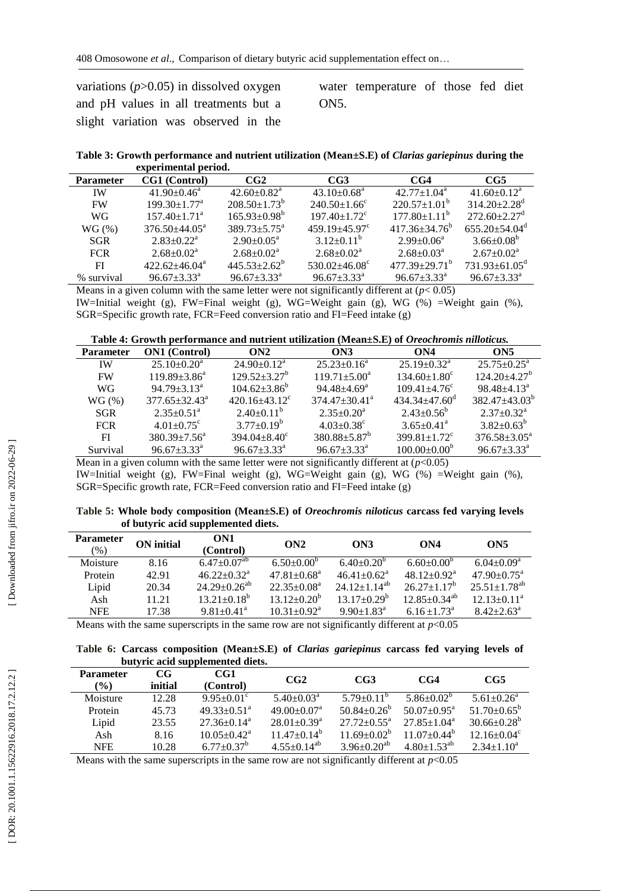| variations $(p>0.05)$ in dissolved oxygen |  |
|-------------------------------------------|--|
| and pH values in all treatments but a     |  |
| slight variation was observed in the      |  |

water temperature of those fed diet ON5.

**Table 3: Growth performance and nutrient utilization (Mean ±S.E) of** *Clarias gariepinus* **during the experimental period .**

| <b>Parameter</b> | CG1 (Control)                  | CG2                           | CG3                            | CG4                       | CG5                           |
|------------------|--------------------------------|-------------------------------|--------------------------------|---------------------------|-------------------------------|
| <b>IW</b>        | $41.90 \pm 0.46^{\circ}$       | $42.60 + 0.82^a$              | $43.10\pm0.68^{\mathrm{a}}$    | $42.77+1.04^a$            | $41.60 + 0.12^a$              |
| <b>FW</b>        | $199.30 \pm 1.77$ <sup>a</sup> | $208.50 + 1.73^b$             | $240.50 \pm 1.66^{\circ}$      | $220.57 \pm 1.01^{\circ}$ | $314.20 + 2.28$ <sup>d</sup>  |
| WG               | $157.40 + 1.71$ <sup>a</sup>   | $165.93 \pm 0.98^b$           | $197.40 \pm 1.72$ <sup>c</sup> | $177.80 + 1.11^{b}$       | $272.60 + 2.27$ <sup>d</sup>  |
| $WG(\%)$         | $376.50 + 44.05^{\circ}$       | $389.73 \pm 5.75^{\text{a}}$  | $459.19 + 45.97$ <sup>c</sup>  | $417.36 + 34.76^b$        | $655.20 + 54.04^d$            |
| <b>SGR</b>       | $2.83+0.22^a$                  | $2.90 \pm 0.05^{\text{a}}$    | $3.12 \pm 0.11^b$              | $2.99 \pm 0.06^{\circ}$   | $3.66 \pm 0.08^b$             |
| <b>FCR</b>       | $2.68 + 0.02a$                 | $2.68 \pm 0.02^{\text{a}}$    | $2.68 + 0.02^a$                | $2.68 \pm 0.03^{\circ}$   | $2.67+0.02^a$                 |
| FI               | $422.62 + 46.04^a$             | $445.53 + 2.62^b$             | $530.02 + 46.08^{\circ}$       | $477.39 + 29.71^{\circ}$  | $731.93 + 61.05^{\circ}$      |
| % survival       | $96.67 + 3.33^a$               | $96.67 \pm 3.33$ <sup>a</sup> | $96.67 \pm 3.33^{\text{a}}$    | $96.67 \pm 3.33^{\circ}$  | $96.67 \pm 3.33$ <sup>a</sup> |
|                  |                                |                               |                                |                           |                               |

Means in a given column with the same letter were not significantly different at  $(p< 0.05)$ IW=Initial weight (g), FW=Final weight (g), WG=Weight gain (g), WG (%) =Weight gain (%), SGR=Specific growth rate, FCR=Feed conversion ratio and FI=Feed intake (g)

**Table 4: Growth performance and nutrient utilization (Mean±S.E) of** *Oreochromis nilloticus .*

| <b>ON1</b> (Control)         | ON2                           | ON3                         | ON4                            | ON5                          |
|------------------------------|-------------------------------|-----------------------------|--------------------------------|------------------------------|
| $25.10\pm0.20^a$             | $24.90 \pm 0.12^a$            | $25.23 \pm 0.16^a$          | $25.19 + 0.32^a$               | $25.75 + 0.25^{\circ}$       |
| $119.89 \pm 3.86^a$          | $129.52 + 3.27^b$             | $119.71 \pm 5.00^a$         | $134.60 \pm 1.80^{\circ}$      | $124.20 + 4.27^b$            |
| $94.79 + 3.13^a$             | $104.62 + 3.86^b$             | $94.48 + 4.69$ <sup>a</sup> | $109.41 \pm 4.76$ <sup>c</sup> | $98.48 + 4.13^a$             |
| $377.65+32.43^{\circ}$       | $420.16 + 43.12$ <sup>c</sup> | $374.47+30.41^{\circ}$      | $434.34 + 47.60^{\circ}$       | $382.47 + 43.03^b$           |
| $2.35 \pm 0.51$ <sup>a</sup> | $2.40+0.11^b$                 | $2.35+0.20^a$               | $2.43 + 0.56^b$                | $2.37+0.32^a$                |
| $4.01 + 0.75$ <sup>c</sup>   | $3.77+0.19^b$                 | $4.03 + 0.38$ <sup>c</sup>  | $3.65 \pm 0.41$ <sup>a</sup>   | $3.82 + 0.63^b$              |
| $380.39 \pm 7.56^{\circ}$    | $394.04 + 8.40^{\circ}$       | $380.88 \pm 5.87^b$         | $399.81 + 1.72$ <sup>c</sup>   | $376.58 \pm 3.05^{\text{a}}$ |
| $96.67 + 3.33^a$             | $96.67 + 3.33^{\circ}$        | $96.67 \pm 3.33^{\circ}$    | $100.00+0.00^{\circ}$          | $96.67 + 3.33^{\circ}$       |
|                              |                               |                             |                                |                              |

Mean in a given column with the same letter were not significantly different at  $(p<0.05)$ IW=Initial weight (g), FW=Final weight (g), WG=Weight gain (g), WG (%) =Weight gain (%), SGR=Specific growth rate, FCR=Feed conversion ratio and FI=Feed intake (g)

**Table 5: Whole body composition (Mean±S.E) of** *Oreochromis niloticus* **carcass fed varying levels of butyric acid supplemented diets .**

| <b>Parameter</b><br>(%)   | ON initial | ON <sub>1</sub><br>(Control)  | ON2                           | ON3                           | ON4                          | ON5                            |
|---------------------------|------------|-------------------------------|-------------------------------|-------------------------------|------------------------------|--------------------------------|
| Moisture                  | 8.16       | $6.47 \pm 0.07$ <sup>ab</sup> | $6.50 \pm 0.00^b$             | $6.40 \pm 0.20^{\circ}$       | $6.60 \pm 0.00^6$            | $6.04 \pm 0.09^a$              |
| Protein                   | 42.91      | $46.22 \pm 0.32^{\text{a}}$   | $47.81 \pm 0.68$ <sup>a</sup> | $46.41 \pm 0.62$ <sup>a</sup> | $48.12 \pm 0.92^{\text{a}}$  | $47.90 \pm 0.75$ <sup>a</sup>  |
| Lipid                     | 20.34      | $24.29 \pm 0.26^{ab}$         | $22.35 \pm 0.08^a$            | $24.12 \pm 1.14^{ab}$         | $26.27 \pm 1.17^b$           | $25.51 \pm 1.78$ <sup>ab</sup> |
| Ash                       | 11.21      | $13.21 \pm 0.18^b$            | $13.12 \pm 0.20^b$            | $13.17 + 0.29^b$              | $12.85 + 0.34^{ab}$          | $12.13 \pm 0.11^a$             |
| <b>NFE</b>                | 17.38      | $9.81 + 0.41^a$               | $10.31 \pm 0.92$ <sup>a</sup> | $9.90 \pm 1.83$ <sup>a</sup>  | $6.16 \pm 1.73$ <sup>a</sup> | $8.42 + 2.63^a$                |
| $\sim$ $\sim$<br>$\cdots$ |            | .                             |                               | $\cdots$                      | $\sim$ $\sim$ $\sim$ $\sim$  |                                |

Means with the same superscripts in the same row are not significantly different at  $p<0.05$ 

**Table 6: Carcass composition (Mean ±S.E) of** *Clarias gariepinus* **carcass fed varying levels of butyric acid supplemented diets .**

| <b>Parameter</b><br>$(\%)$ | CG<br>initial | CG1<br>(Control)              | CG2                           | CG <sub>3</sub>             | CG4                           | CG5                           |
|----------------------------|---------------|-------------------------------|-------------------------------|-----------------------------|-------------------------------|-------------------------------|
| Moisture                   | 12.28         | $9.95 \pm 0.01$ <sup>c</sup>  | $5.40 \pm 0.03$ <sup>a</sup>  | $5.79 \pm 0.11^{\circ}$     | $5.86 + 0.02^{\circ}$         | $5.61 \pm 0.26^a$             |
| Protein                    | 45.73         | $49.33 \pm 0.51$ <sup>a</sup> | $49.00 \pm 0.07$ <sup>a</sup> | $50.84 \pm 0.26^{\circ}$    | $50.07 + 0.95^{\text{a}}$     | $51.70 \pm 0.65^{\rm b}$      |
| Lipid                      | 23.55         | $27.36 \pm 0.14^a$            | $28.01 \pm 0.39$ <sup>a</sup> | $27.72 \pm 0.55^{\text{a}}$ | $27.85 + 1.04^a$              | $30.66 \pm 0.28^b$            |
| Ash                        | 8.16          | $10.05 \pm 0.42^{\text{a}}$   | $11.47 + 0.14^b$              | $11.69 \pm 0.02^b$          | $11.07+0.44^b$                | $12.16 \pm 0.04$ <sup>c</sup> |
| <b>NFE</b>                 | 10.28         | $6.77 \pm 0.37^b$             | $4.55 \pm 0.14^{ab}$          | $3.96 \pm 0.20^{ab}$        | $4.80 \pm 1.53$ <sup>ab</sup> | $2.34 \pm 1.10^a$             |

Means with the same superscripts in the same row are not significantly different at  $p<0.05$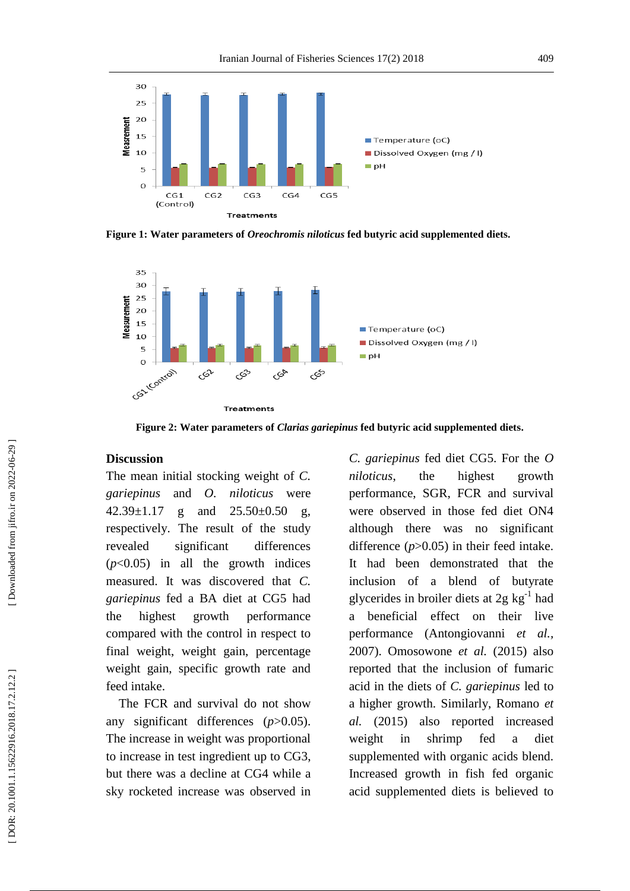

**Fig ure 1: Water parameters of** *Oreochromis niloticus* **fed butyric acid supplemented diets .**



**Fig ure 2: Water parameters of** *Clarias gariepinus* **fed butyric acid supplemented diets .**

#### **Discussion**

The mean initial stocking weight of *C. gariepinus* and *O. niloticus* were 42.39±1.17 g and 25.50±0.50 g, respectively. The result of the study revealed significant differences  $(p<0.05)$  in all the growth indices measured. It was discovered that *C. gariepinus* fed a BA diet at CG5 had the highest growth performance compared with the control in respect to final weight, weight gain, percentage weight gain, specific growth rate and feed intake.

 The FCR and survival do not show any significant differences (*p*>0.05). The increase in weight was proportional to increase in test ingredient up to CG3, but there was a decline at CG4 while a sky rocketed increase was observed in *C. gariepinus* fed diet CG5. For the *O niloticus*, the highest growth performance, SGR, FCR and survival were observed in those fed diet ON4 although there was no significant difference (*p*>0.05) in their feed intake. It had been demonstrated that the inclusion of a blend of butyrate glycerides in broiler diets at  $2g \text{ kg}^{-1}$  had a beneficial effect on their live performance (Antongiovanni *et al .,*  2007). Omosowone *et al .* (2015) also reported that the inclusion of fumaric acid in the diets of *C. gariepinus* led to a higher growth. Similarly, Romano *et al .* (2015) also reported increased weight in shrimp fed a diet supplemented with organic acids blend. Increased growth in fish fed organic acid supplemented diets is believed to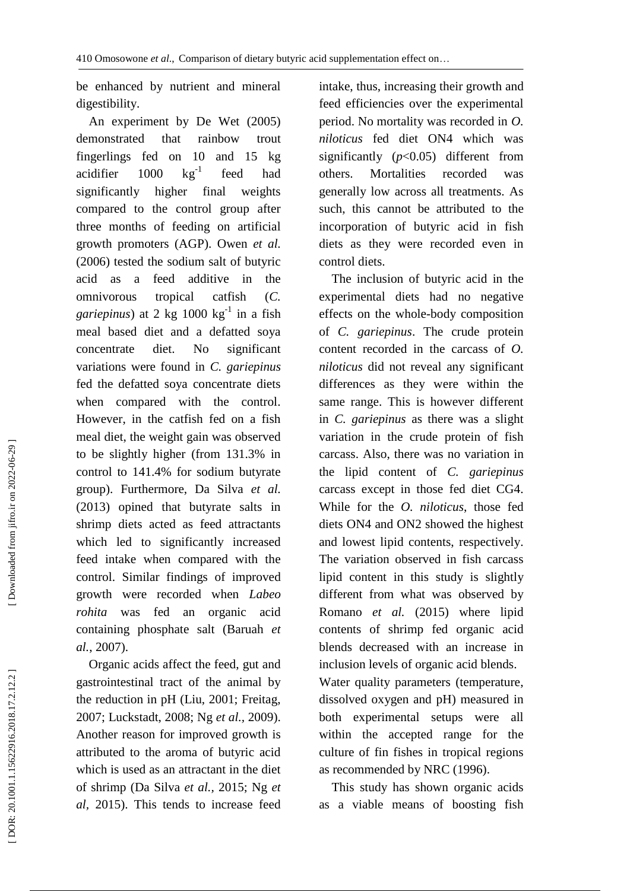be enhanced by nutrient and mineral digestibility.

 An experiment by De Wet (2005) demonstrated that rainbow trout fingerlings fed on 10 and 15 kg acidifier 1000 - 1 feed had significantly higher final weights compared to the control group after three months of feeding on artificial growth promoters (AGP). Owen *et al .* (2006) tested the sodium salt of butyric acid as a feed additive in the omnivorous tropical catfish ( *C .* gariepinus) at 2 kg 1000 kg<sup>-1</sup> in a fish meal based diet and a defatted soya concentrate diet. No significant variations were found in *C. gariepinus* fed the defatted soya concentrate diets when compared with the control. However, in the catfish fed on a fish meal diet, the weight gain was observed to be slightly higher (from 131.3% in control to 141.4% for sodium butyrate group). Furthermore, Da Silva *et al .* (2013) opined that butyrate salts in shrimp diets acted as feed attractants which led to significantly increased feed intake when compared with the control. Similar findings of improved growth were recorded when *Labeo rohita* was fed an organic acid containing phosphate salt (Baruah *et al .*, 2007).

 Organic acids affect the feed, gut and gastrointestinal tract of the animal by the reduction in pH (Liu, 2001; Freitag, 2007; Luckstadt, 2008; Ng *et al . ,* 2009). Another reason for improved growth is attributed to the aroma of butyric acid which is used as an attractant in the diet of shrimp (Da Silva *et al . ,* 2015 ; Ng *et al,* 2015). This tends to increase feed

intake, thus, increasing their growth and feed efficiencies over the experimental period. No mortality was recorded in *O. niloticus* fed diet ON4 which was significantly (*p*<0.05) different from others. Mortalities recorded was generally low across all treatments. As such, this cannot be attributed to the incorporation of butyric acid in fish diets as they were recorded even in control diets.

 The inclusion of butyric acid in the experimental diets had no negative effects on the whole -body composition of *C. gariepinus*. The crude protein content recorded in the carcass of *O. niloticus* did not reveal any significant differences as they were within the same range. This is however different in *C. gariepinus* as there was a slight variation in the crude protein of fish carcass. Also, there was no variation in the lipid content of *C. gariepinus* carcass except in those fed diet CG4. While for the *O. niloticus*, those fed diets ON4 and ON2 showed the highest and lowest lipid contents, respectively. The variation observed in fish carcass lipid content in this study is slightly different from what was observed by Romano *et al.* (2015) where lipid contents of shrimp fed organic acid blends decreased with an increase in inclusion levels of organic acid blends. Water quality parameters (temperature, dissolved oxygen and pH) measured in both experimental setups were all within the accepted range for the culture of fin fishes in tropical regions as recommended by NRC (1996).

 This study has shown organic acids as a viable means of boosting fish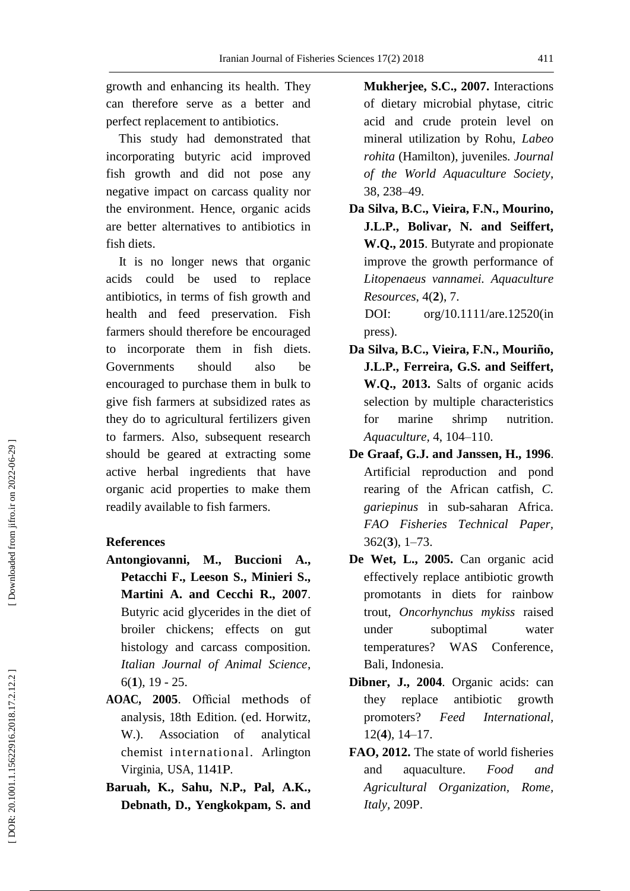growth and enhancing its health. They can therefore serve as a better and perfect replacement to antibiotics.

 This study had demonstrated that incorporating butyric acid improved fish growth and did not pose any negative impact on carcass quality nor the environment. Hence, organic acids are better alternatives to antibiotics in fish diets.

 It is no longer news that organic acids could be used to replace antibiotics, in terms of fish growth and health and feed preservation. Fish farmers should therefore be encouraged to incorporate them in fish diets. Governments should also be encouraged to purchase them in bulk to give fish farmers at subsidized rates as they do to agricultural fertilizers given to farmers. Also, subsequent research should be geared at extracting some active herbal ingredients that have organic acid properties to make them readily available to fish farmers.

# **References**

- **Antongiovanni, M., Buccioni A., Petacchi F., Leeson S., Minieri S., Martini A. and Cecchi R., 2007**. Butyric acid glycerides in the diet of broiler chickens; effects on gut histology and carcass composition. *Italian Journal of Animal Science*, 6(**1**), 19 - 25.
- **AOAC, 2005**. Official methods of analysis *,* 18th Edition *.* (ed. Ho rwitz, W.). Association of analytical chemist international. Arlington Virginia, USA, 1141P.
- **Baruah , K., Sahu , N.P., Pal , A.K., Debnath , D., Yengkokpam , S. and**

**Mukherjee , S.C. , 2007.** Interactions of dietary microbial phytase, citric acid and crude protein level on mineral utilization by Rohu, *Labeo rohita* (Hamilton), juveniles*. Journal of the World Aquaculture Society*, 38 , 238 –49.

**Da Silva, B.C., Vieira, F.N., Mourino, J.L.P., Bolivar, N. and Seiffert, W.Q., 2015**. Butyrate and propionate improve the growth performance of *Litopenaeus vannamei. Aquaculture Resources* , 4 ( **2** ), 7 .

DOI: org/10.1111/are.12520(in press).

- **Da Silva, B.C., Vieira, F.N., Mouriño, J.L.P., Ferreira, G.S. and Seiffert, W.Q., 2013.** Salts of organic acids selection by multiple characteristics for marine shrimp nutrition. *Aquaculture ,* 4, 104 –110.
- **De Graaf, G.J. and Janssen, H., 1996**. Artificial reproduction and pond rearing of the African catfish, *C. gariepinus* in sub - saharan Africa. *FAO Fisheries Technical Paper,*  362 ( **3**), 1 –73.
- **De Wet , L. , 2005.** Can organic acid effectively replace antibiotic growth promotants in diets for rainbow trout, *Oncorhynchus mykiss* raised under suboptimal water temperatures? WAS Conference, Bali, Indonesia.
- **Dibner , J., 2004**. Organic acids: can they replace antibiotic growth promoters? *Feed International,*  12 ( **4** ) , 14 –17.
- **FAO, 2012 .** The state of world fisheries and aquaculture. *Food and Agricultural Organization, Rome,*  Italy, 209P.